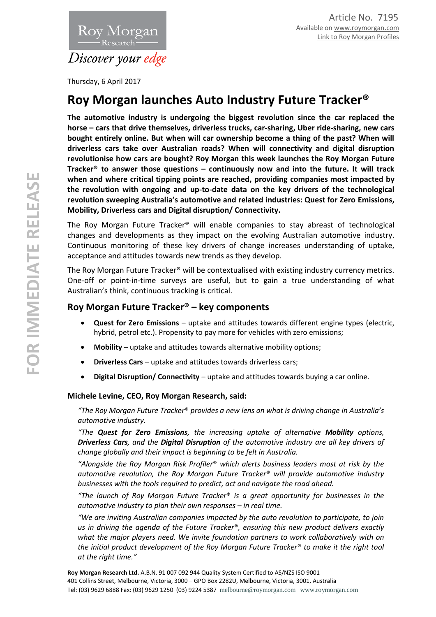

Thursday, 6 April 2017

## **Roy Morgan launches Auto Industry Future Tracker®**

**The automotive industry is undergoing the biggest revolution since the car replaced the horse – cars that drive themselves, driverless trucks, car-sharing, Uber ride-sharing, new cars bought entirely online. But when will car ownership become a thing of the past? When will driverless cars take over Australian roads? When will connectivity and digital disruption revolutionise how cars are bought? Roy Morgan this week launches the Roy Morgan Future Tracker® to answer those questions – continuously now and into the future. It will track when and where critical tipping points are reached, providing companies most impacted by the revolution with ongoing and up-to-date data on the key drivers of the technological revolution sweeping Australia's automotive and related industries: Quest for Zero Emissions, Mobility, Driverless cars and Digital disruption/ Connectivity.**

The Roy Morgan Future Tracker® will enable companies to stay abreast of technological changes and developments as they impact on the evolving Australian automotive industry. Continuous monitoring of these key drivers of change increases understanding of uptake, acceptance and attitudes towards new trends as they develop.

The Roy Morgan Future Tracker® will be contextualised with existing industry currency metrics. One-off or point-in-time surveys are useful, but to gain a true understanding of what Australian's think, continuous tracking is critical.

## **Roy Morgan Future Tracker® – key components**

- **Quest for Zero Emissions**  uptake and attitudes towards different engine types (electric, hybrid, petrol etc.). Propensity to pay more for vehicles with zero emissions;
- **Mobility** uptake and attitudes towards alternative mobility options;
- **Driverless Cars** uptake and attitudes towards driverless cars;
- **Digital Disruption/ Connectivity**  uptake and attitudes towards buying a car online.

## **Michele Levine, CEO, Roy Morgan Research, said:**

*"The Roy Morgan Future Tracker*® *provides a new lens on what is driving change in Australia's automotive industry.*

*"The Quest for Zero Emissions, the increasing uptake of alternative Mobility options, Driverless Cars, and the Digital Disruption of the automotive industry are all key drivers of change globally and their impact is beginning to be felt in Australia.*

*"Alongside the Roy Morgan Risk Profiler*® *which alerts business leaders most at risk by the automotive revolution, the Roy Morgan Future Tracker*® *will provide automotive industry businesses with the tools required to predict, act and navigate the road ahead.*

*"The launch of Roy Morgan Future Tracker*® *is a great opportunity for businesses in the automotive industry to plan their own responses – in real time.*

*"We are inviting Australian companies impacted by the auto revolution to participate, to join us in driving the agenda of the Future Tracker*®*, ensuring this new product delivers exactly what the major players need. We invite foundation partners to work collaboratively with on the initial product development of the Roy Morgan Future Tracker*® *to make it the right tool at the right time."*